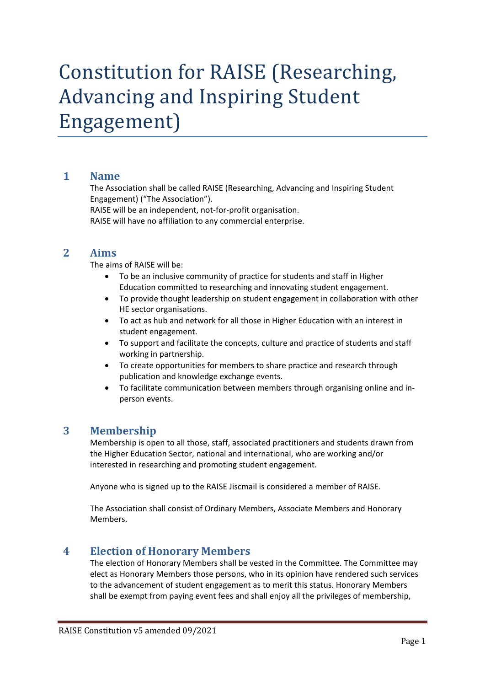# Constitution for RAISE (Researching, Advancing and Inspiring Student Engagement)

#### **1 Name**

The Association shall be called RAISE (Researching, Advancing and Inspiring Student Engagement) ("The Association").

RAISE will be an independent, not-for-profit organisation.

RAISE will have no affiliation to any commercial enterprise.

#### **2 Aims**

The aims of RAISE will be:

- To be an inclusive community of practice for students and staff in Higher Education committed to researching and innovating student engagement.
- To provide thought leadership on student engagement in collaboration with other HE sector organisations.
- To act as hub and network for all those in Higher Education with an interest in student engagement.
- To support and facilitate the concepts, culture and practice of students and staff working in partnership.
- To create opportunities for members to share practice and research through publication and knowledge exchange events.
- To facilitate communication between members through organising online and inperson events.

#### **3 Membership**

Membership is open to all those, staff, associated practitioners and students drawn from the Higher Education Sector, national and international, who are working and/or interested in researching and promoting student engagement.

Anyone who is signed up to the RAISE Jiscmail is considered a member of RAISE.

The Association shall consist of Ordinary Members, Associate Members and Honorary Members.

#### **4 Election of Honorary Members**

The election of Honorary Members shall be vested in the Committee. The Committee may elect as Honorary Members those persons, who in its opinion have rendered such services to the advancement of student engagement as to merit this status. Honorary Members shall be exempt from paying event fees and shall enjoy all the privileges of membership,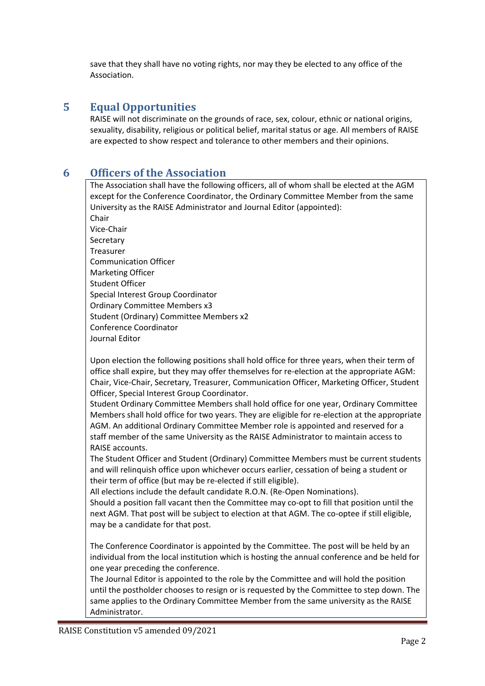save that they shall have no voting rights, nor may they be elected to any office of the Association.

## **5 Equal Opportunities**

RAISE will not discriminate on the grounds of race, sex, colour, ethnic or national origins, sexuality, disability, religious or political belief, marital status or age. All members of RAISE are expected to show respect and tolerance to other members and their opinions.

### **6 Officers of the Association**

The Association shall have the following officers, all of whom shall be elected at the AGM except for the Conference Coordinator, the Ordinary Committee Member from the same University as the RAISE Administrator and Journal Editor (appointed): Chair Vice-Chair Secretary Treasurer Communication Officer Marketing Officer Student Officer Special Interest Group Coordinator Ordinary Committee Members x3 Student (Ordinary) Committee Members x2 Conference Coordinator Journal Editor

Upon election the following positions shall hold office for three years, when their term of office shall expire, but they may offer themselves for re-election at the appropriate AGM: Chair, Vice-Chair, Secretary, Treasurer, Communication Officer, Marketing Officer, Student Officer, Special Interest Group Coordinator.

Student Ordinary Committee Members shall hold office for one year, Ordinary Committee Members shall hold office for two years. They are eligible for re-election at the appropriate AGM. An additional Ordinary Committee Member role is appointed and reserved for a staff member of the same University as the RAISE Administrator to maintain access to RAISE accounts.

The Student Officer and Student (Ordinary) Committee Members must be current students and will relinquish office upon whichever occurs earlier, cessation of being a student or their term of office (but may be re-elected if still eligible).

All elections include the default candidate R.O.N. (Re-Open Nominations).

Should a position fall vacant then the Committee may co-opt to fill that position until the next AGM. That post will be subject to election at that AGM. The co-optee if still eligible, may be a candidate for that post.

The Conference Coordinator is appointed by the Committee. The post will be held by an individual from the local institution which is hosting the annual conference and be held for one year preceding the conference.

The Journal Editor is appointed to the role by the Committee and will hold the position until the postholder chooses to resign or is requested by the Committee to step down. The same applies to the Ordinary Committee Member from the same university as the RAISE Administrator.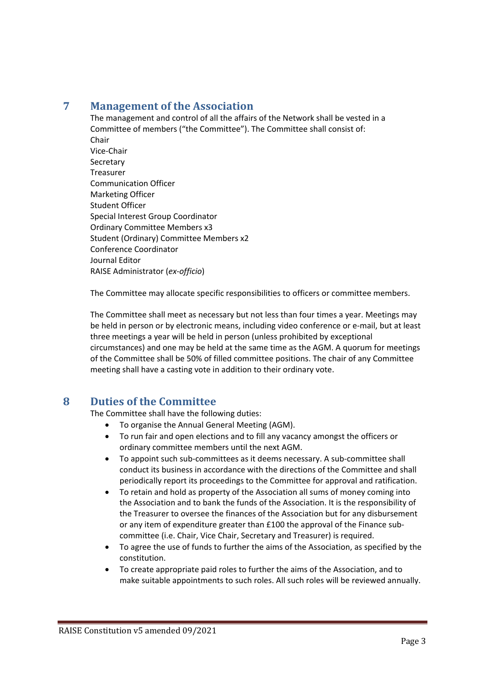# **7 Management of the Association**

The management and control of all the affairs of the Network shall be vested in a Committee of members ("the Committee"). The Committee shall consist of: Chair Vice-Chair **Secretary** Treasurer Communication Officer Marketing Officer Student Officer Special Interest Group Coordinator Ordinary Committee Members x3 Student (Ordinary) Committee Members x2 Conference Coordinator Journal Editor RAISE Administrator (*ex-officio*)

The Committee may allocate specific responsibilities to officers or committee members.

The Committee shall meet as necessary but not less than four times a year. Meetings may be held in person or by electronic means, including video conference or e-mail, but at least three meetings a year will be held in person (unless prohibited by exceptional circumstances) and one may be held at the same time as the AGM. A quorum for meetings of the Committee shall be 50% of filled committee positions. The chair of any Committee meeting shall have a casting vote in addition to their ordinary vote.

# **8 Duties of the Committee**

The Committee shall have the following duties:

- To organise the Annual General Meeting (AGM).
- To run fair and open elections and to fill any vacancy amongst the officers or ordinary committee members until the next AGM.
- To appoint such sub-committees as it deems necessary. A sub-committee shall conduct its business in accordance with the directions of the Committee and shall periodically report its proceedings to the Committee for approval and ratification.
- To retain and hold as property of the Association all sums of money coming into the Association and to bank the funds of the Association. It is the responsibility of the Treasurer to oversee the finances of the Association but for any disbursement or any item of expenditure greater than £100 the approval of the Finance subcommittee (i.e. Chair, Vice Chair, Secretary and Treasurer) is required.
- To agree the use of funds to further the aims of the Association, as specified by the constitution.
- To create appropriate paid roles to further the aims of the Association, and to make suitable appointments to such roles. All such roles will be reviewed annually.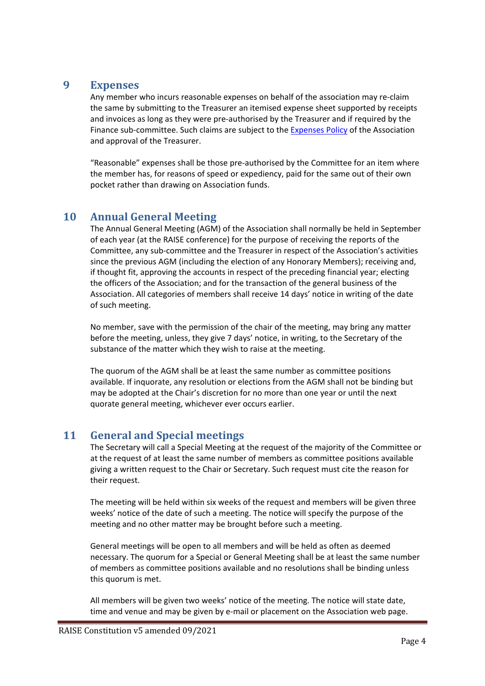#### **9 Expenses**

Any member who incurs reasonable expenses on behalf of the association may re-claim the same by submitting to the Treasurer an itemised expense sheet supported by receipts and invoices as long as they were pre-authorised by the Treasurer and if required by the Finance sub-committee. Such claims are subject to the [Expenses Policy](http://www.raise-network.com/wp-content/uploads/2018/07/RAISE-Expenses-Policy-1.0.pdf) of the Association and approval of the Treasurer.

"Reasonable" expenses shall be those pre-authorised by the Committee for an item where the member has, for reasons of speed or expediency, paid for the same out of their own pocket rather than drawing on Association funds.

# **10 Annual General Meeting**

The Annual General Meeting (AGM) of the Association shall normally be held in September of each year (at the RAISE conference) for the purpose of receiving the reports of the Committee, any sub-committee and the Treasurer in respect of the Association's activities since the previous AGM (including the election of any Honorary Members); receiving and, if thought fit, approving the accounts in respect of the preceding financial year; electing the officers of the Association; and for the transaction of the general business of the Association. All categories of members shall receive 14 days' notice in writing of the date of such meeting.

No member, save with the permission of the chair of the meeting, may bring any matter before the meeting, unless, they give 7 days' notice, in writing, to the Secretary of the substance of the matter which they wish to raise at the meeting.

The quorum of the AGM shall be at least the same number as committee positions available. If inquorate, any resolution or elections from the AGM shall not be binding but may be adopted at the Chair's discretion for no more than one year or until the next quorate general meeting, whichever ever occurs earlier.

# **11 General and Special meetings**

The Secretary will call a Special Meeting at the request of the majority of the Committee or at the request of at least the same number of members as committee positions available giving a written request to the Chair or Secretary. Such request must cite the reason for their request.

The meeting will be held within six weeks of the request and members will be given three weeks' notice of the date of such a meeting. The notice will specify the purpose of the meeting and no other matter may be brought before such a meeting.

General meetings will be open to all members and will be held as often as deemed necessary. The quorum for a Special or General Meeting shall be at least the same number of members as committee positions available and no resolutions shall be binding unless this quorum is met.

All members will be given two weeks' notice of the meeting. The notice will state date, time and venue and may be given by e-mail or placement on the Association web page.